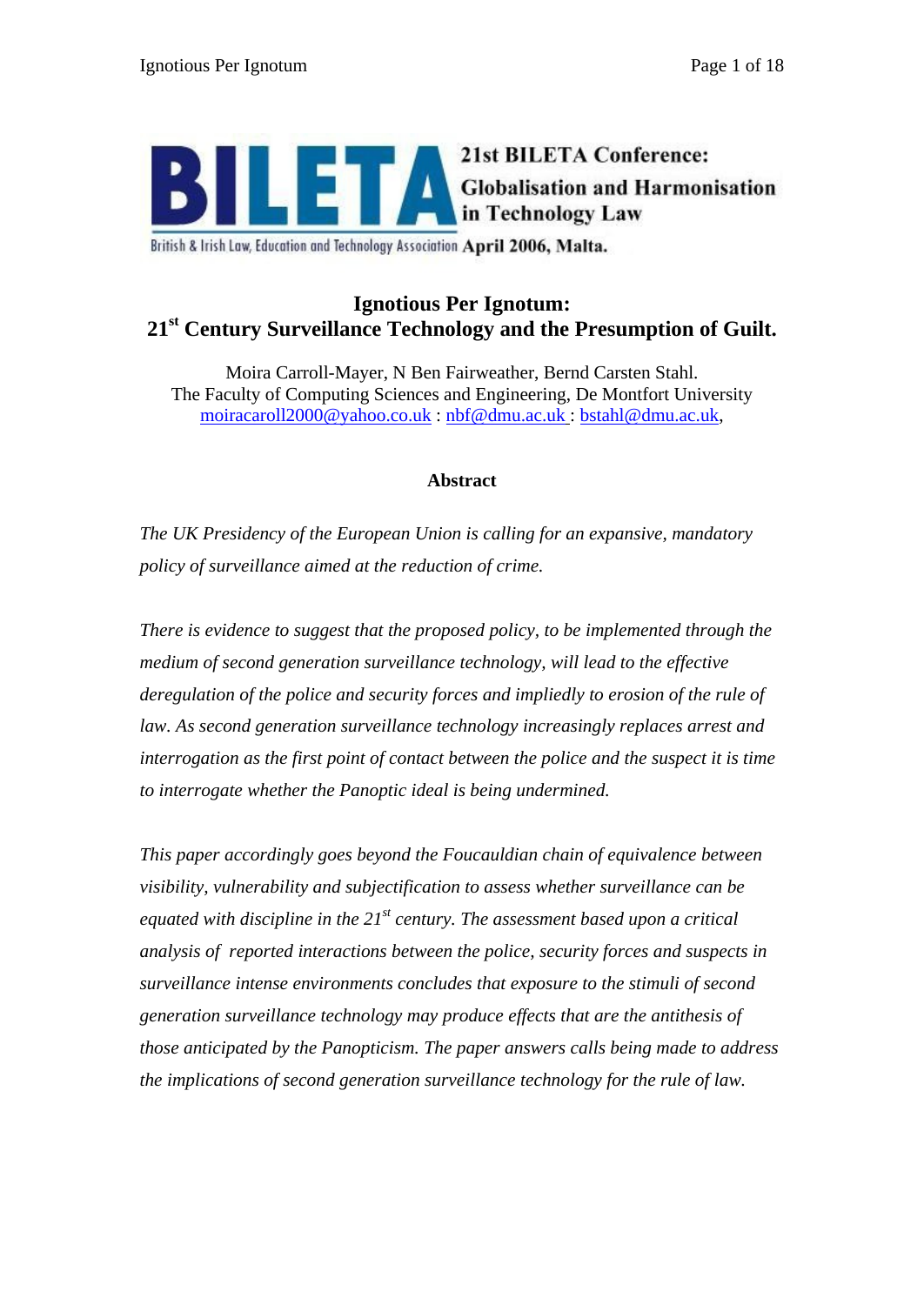

British & Irish Law, Education and Technology Association April 2006, Malta.

# **Ignotious Per Ignotum: 21st Century Surveillance Technology and the Presumption of Guilt.**

Moira Carroll-Mayer, N Ben Fairweather, Bernd Carsten Stahl. The Faculty of Computing Sciences and Engineering, De Montfort University moiracaroll2000@yahoo.co.uk : nbf@dmu.ac.uk : bstahl@dmu.ac.uk,

#### **Abstract**

*The UK Presidency of the European Union is calling for an expansive, mandatory policy of surveillance aimed at the reduction of crime.*

*There is evidence to suggest that the proposed policy, to be implemented through the medium of second generation surveillance technology, will lead to the effective deregulation of the police and security forces and impliedly to erosion of the rule of law. As second generation surveillance technology increasingly replaces arrest and interrogation as the first point of contact between the police and the suspect it is time to interrogate whether the Panoptic ideal is being undermined.*

*This paper accordingly goes beyond the Foucauldian chain of equivalence between visibility, vulnerability and subjectification to assess whether surveillance can be equated with discipline in the 21st century. The assessment based upon a critical analysis of reported interactions between the police, security forces and suspects in surveillance intense environments concludes that exposure to the stimuli of second generation surveillance technology may produce effects that are the antithesis of those anticipated by the Panopticism. The paper answers calls being made to address the implications of second generation surveillance technology for the rule of law.*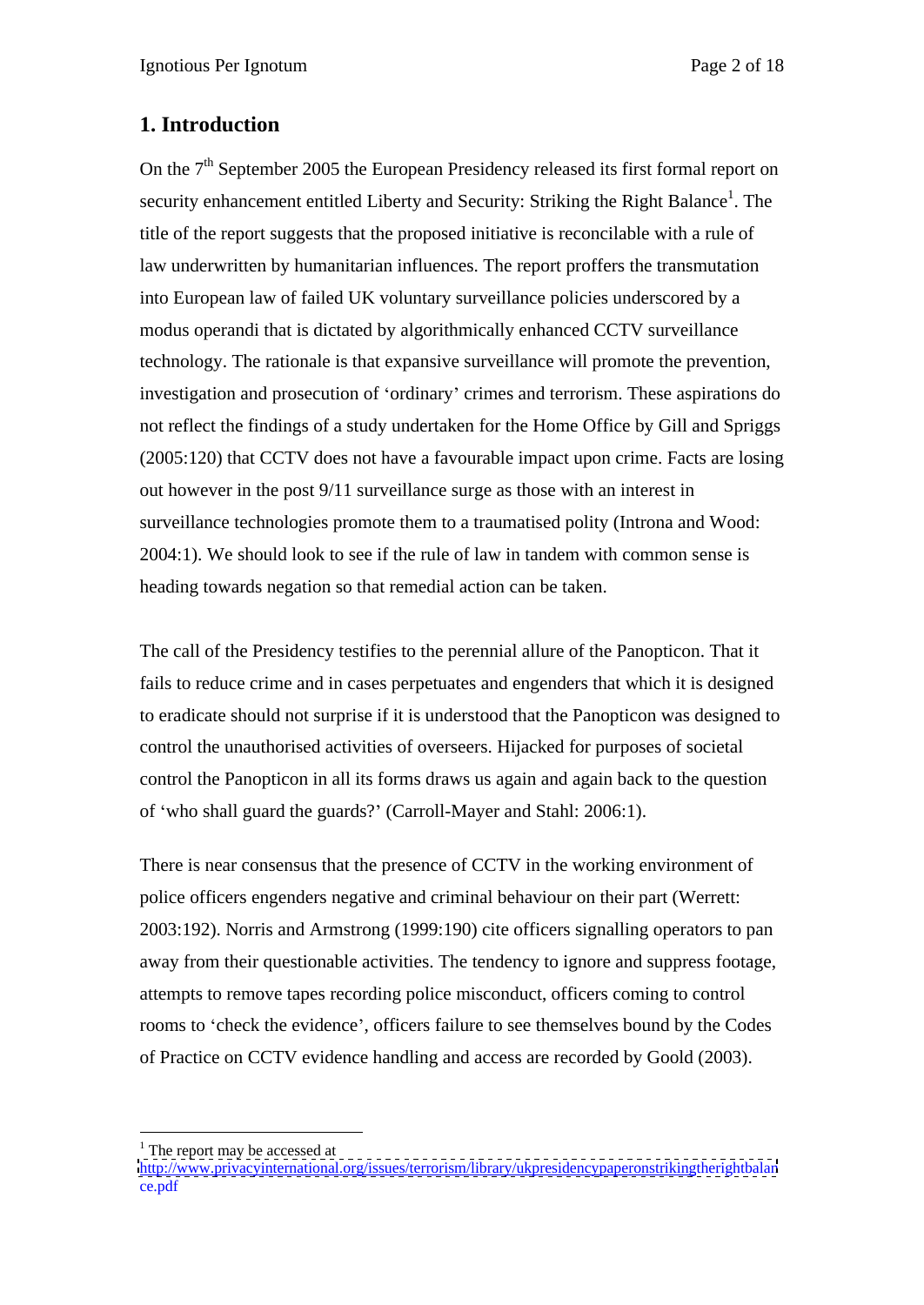# **1. Introduction**

On the 7<sup>th</sup> September 2005 the European Presidency released its first formal report on security enhancement entitled Liberty and Security: Striking the Right Balance<sup>1</sup>. The . The title of the report suggests that the proposed initiative is reconcilable with a rule of law underwritten by humanitarian influences. The report proffers the transmutation into European law of failed UK voluntary surveillance policies underscored by a modus operandi that is dictated by algorithmically enhanced CCTV surveillance technology. The rationale is that expansive surveillance will promote the prevention, investigation and prosecution of 'ordinary' crimes and terrorism. These aspirations do not reflect the findings of a study undertaken for the Home Office by Gill and Spriggs (2005:120) that CCTV does not have a favourable impact upon crime. Facts are losing out however in the post 9/11 surveillance surge as those with an interest in surveillance technologies promote them to a traumatised polity (Introna and Wood: 2004:1). We should look to see if the rule of law in tandem with common sense is heading towards negation so that remedial action can be taken.

The call of the Presidency testifies to the perennial allure of the Panopticon. That it fails to reduce crime and in cases perpetuates and engenders that which it is designed to eradicate should not surprise if it is understood that the Panopticon was designed to control the unauthorised activities of overseers. Hijacked for purposes of societal control the Panopticon in all its forms draws us again and again back to the question of who shall guard the guards? (Carroll-Mayer and Stahl: 2006:1).

There is near consensus that the presence of CCTV in the working environment of police officers engenders negative and criminal behaviour on their part (Werrett: 2003:192). Norris and Armstrong (1999:190) cite officers signalling operators to pan away from their questionable activities. The tendency to ignore and suppress footage, attempts to remove tapes recording police misconduct, officers coming to control rooms to 'check the evidence', officers failure to see themselves bound by the Codes of Practice on CCTV evidence handling and access are recorded by Goold (2003).

 $\frac{1}{1}$  The report may be accessed at  $1$  The report may be accessed at

<http://www.privacyinternational.org/issues/terrorism/library/ukpresidencypaperonstrikingtherightbalan> ce.pdf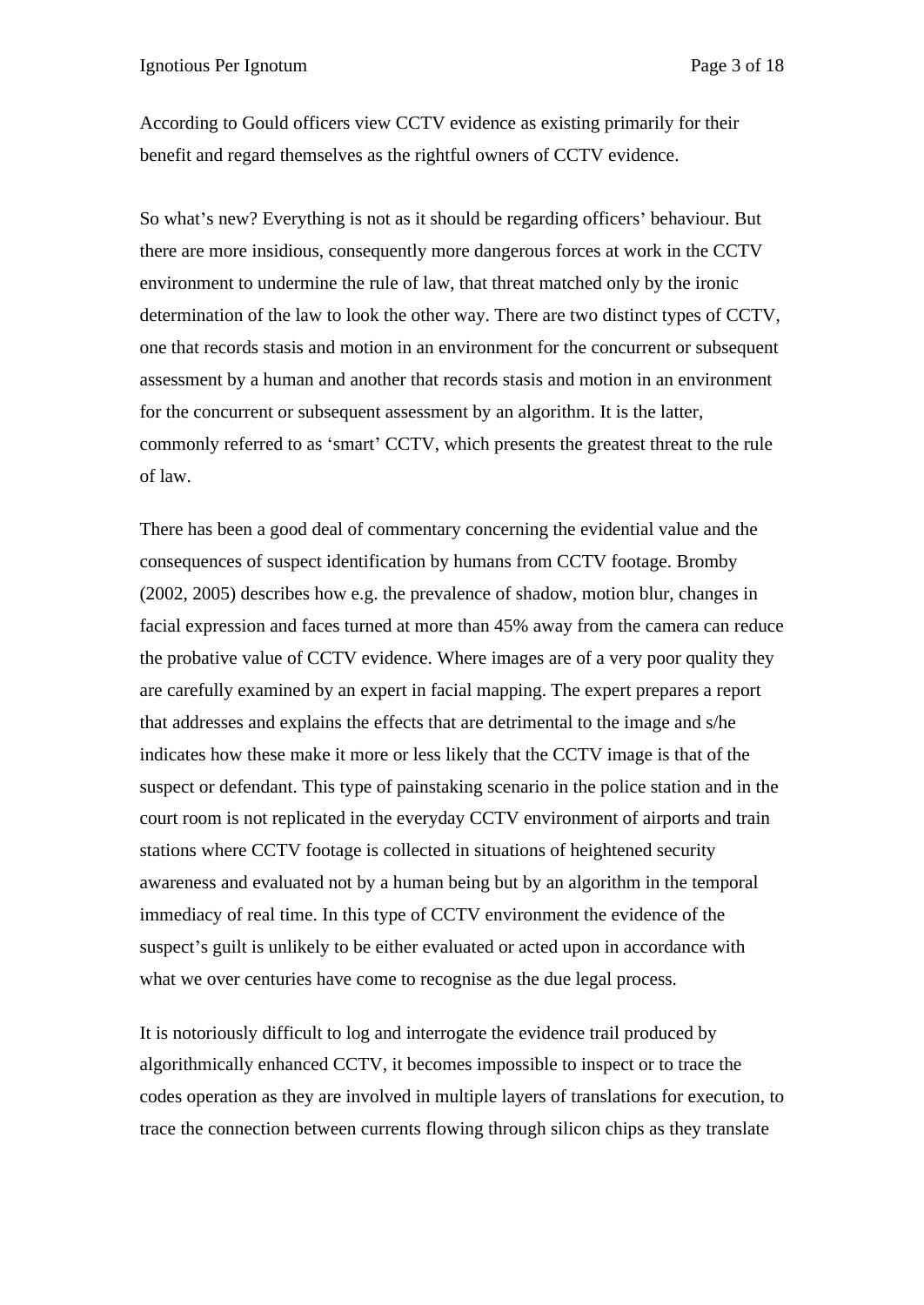According to Gould officers view CCTV evidence as existing primarily for their benefit and regard themselves as the rightful owners of CCTV evidence.

So what's new? Everything is not as it should be regarding officers' behaviour. But there are more insidious, consequently more dangerous forces at work in the CCTV environment to undermine the rule of law, that threat matched only by the ironic determination of the law to look the other way. There are two distinct types of CCTV, one that records stasis and motion in an environment for the concurrent or subsequent assessment by a human and another that records stasis and motion in an environment for the concurrent or subsequent assessment by an algorithm. It is the latter, commonly referred to as 'smart' CCTV, which presents the greatest threat to the rule of law.

There has been a good deal of commentary concerning the evidential value and the consequences of suspect identification by humans from CCTV footage. Bromby (2002, 2005) describes how e.g. the prevalence of shadow, motion blur, changes in facial expression and faces turned at more than 45% away from the camera can reduce the probative value of CCTV evidence. Where images are of a very poor quality they are carefully examined by an expert in facial mapping. The expert prepares a report that addresses and explains the effects that are detrimental to the image and s/he indicates how these make it more or less likely that the CCTV image is that of the suspect or defendant. This type of painstaking scenario in the police station and in the court room is not replicated in the everyday CCTV environment of airports and train stations where CCTV footage is collected in situations of heightened security awareness and evaluated not by a human being but by an algorithm in the temporal immediacy of real time. In this type of CCTV environment the evidence of the suspect's guilt is unlikely to be either evaluated or acted upon in accordance with what we over centuries have come to recognise as the due legal process.

It is notoriously difficult to log and interrogate the evidence trail produced by algorithmically enhanced CCTV, it becomes impossible to inspect or to trace the codes operation as they are involved in multiple layers of translations for execution, to trace the connection between currents flowing through silicon chips as they translate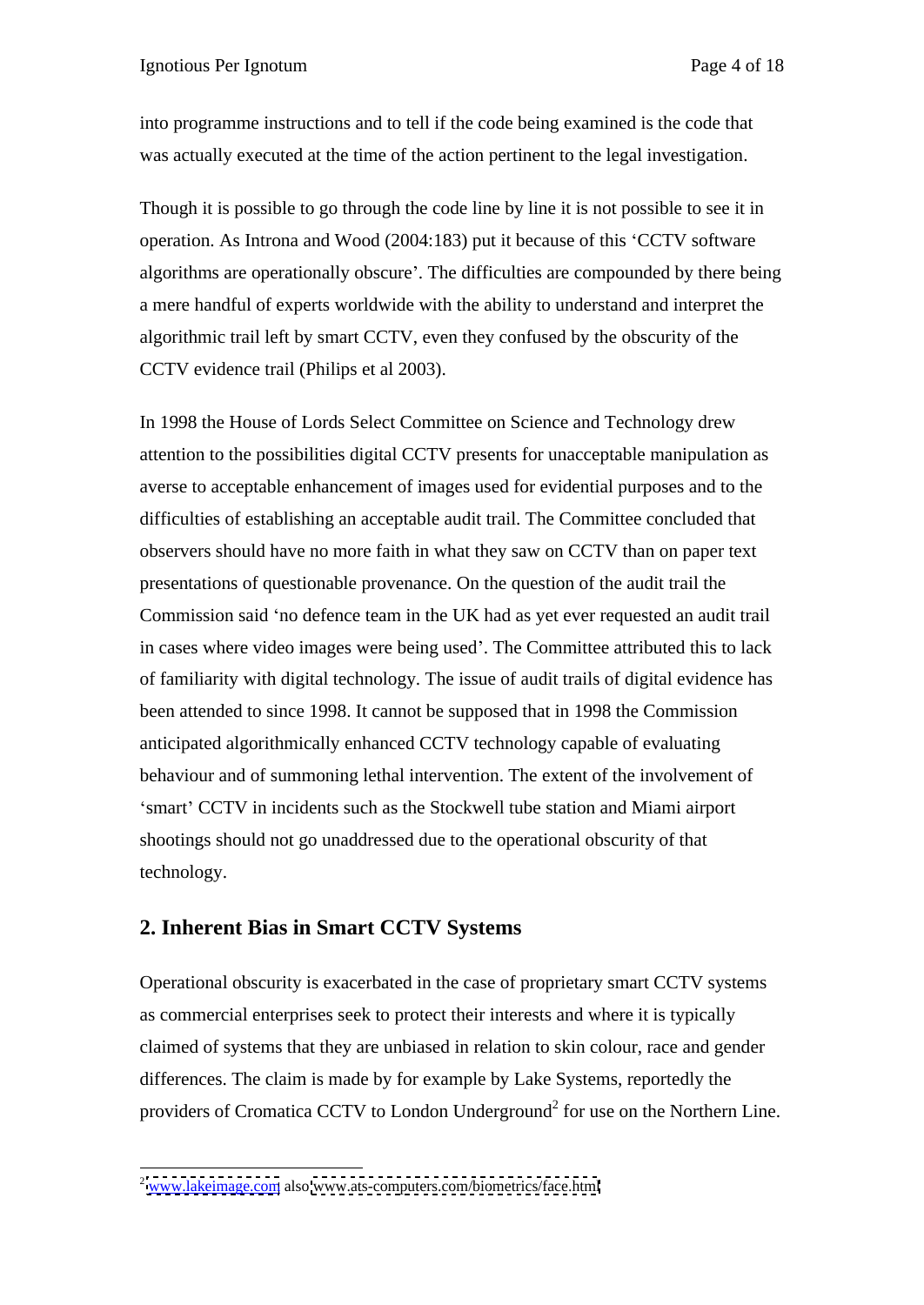into programme instructions and to tell if the code being examined is the code that was actually executed at the time of the action pertinent to the legal investigation.

Though it is possible to go through the code line by line it is not possible to see it in operation. As Introna and Wood (2004:183) put it because of this CCTV software algorithms are operationally obscure . The difficulties are compounded by there being a mere handful of experts worldwide with the ability to understand and interpret the algorithmic trail left by smart CCTV, even they confused by the obscurity of the CCTV evidence trail (Philips et al 2003).

In 1998 the House of Lords Select Committee on Science and Technology drew attention to the possibilities digital CCTV presents for unacceptable manipulation as averse to acceptable enhancement of images used for evidential purposes and to the difficulties of establishing an acceptable audit trail. The Committee concluded that observers should have no more faith in what they saw on CCTV than on paper text presentations of questionable provenance. On the question of the audit trail the Commission said 'no defence team in the UK had as yet ever requested an audit trail in cases where video images were being used . The Committee attributed this to lack of familiarity with digital technology. The issue of audit trails of digital evidence has been attended to since 1998. It cannot be supposed that in 1998 the Commission anticipated algorithmically enhanced CCTV technology capable of evaluating behaviour and of summoning lethal intervention. The extent of the involvement of 'smart' CCTV in incidents such as the Stockwell tube station and Miami airport shootings should not go unaddressed due to the operational obscurity of that technology.

#### **2. Inherent Bias in Smart CCTV Systems**

Operational obscurity is exacerbated in the case of proprietary smart CCTV systems as commercial enterprises seek to protect their interests and where it is typically claimed of systems that they are unbiased in relation to skin colour, race and gender differences. The claim is made by for example by Lake Systems, reportedly the providers of Cromatica CCTV to London Underground<sup>2</sup> for use on the Northern Line.

 <sup>2</sup> [www.lakeimage.com](http://www.lakeimage.com) also [www.ats-computers.com/biometrics/face.html](http://www.ats-computers.com/biometrics/face.html)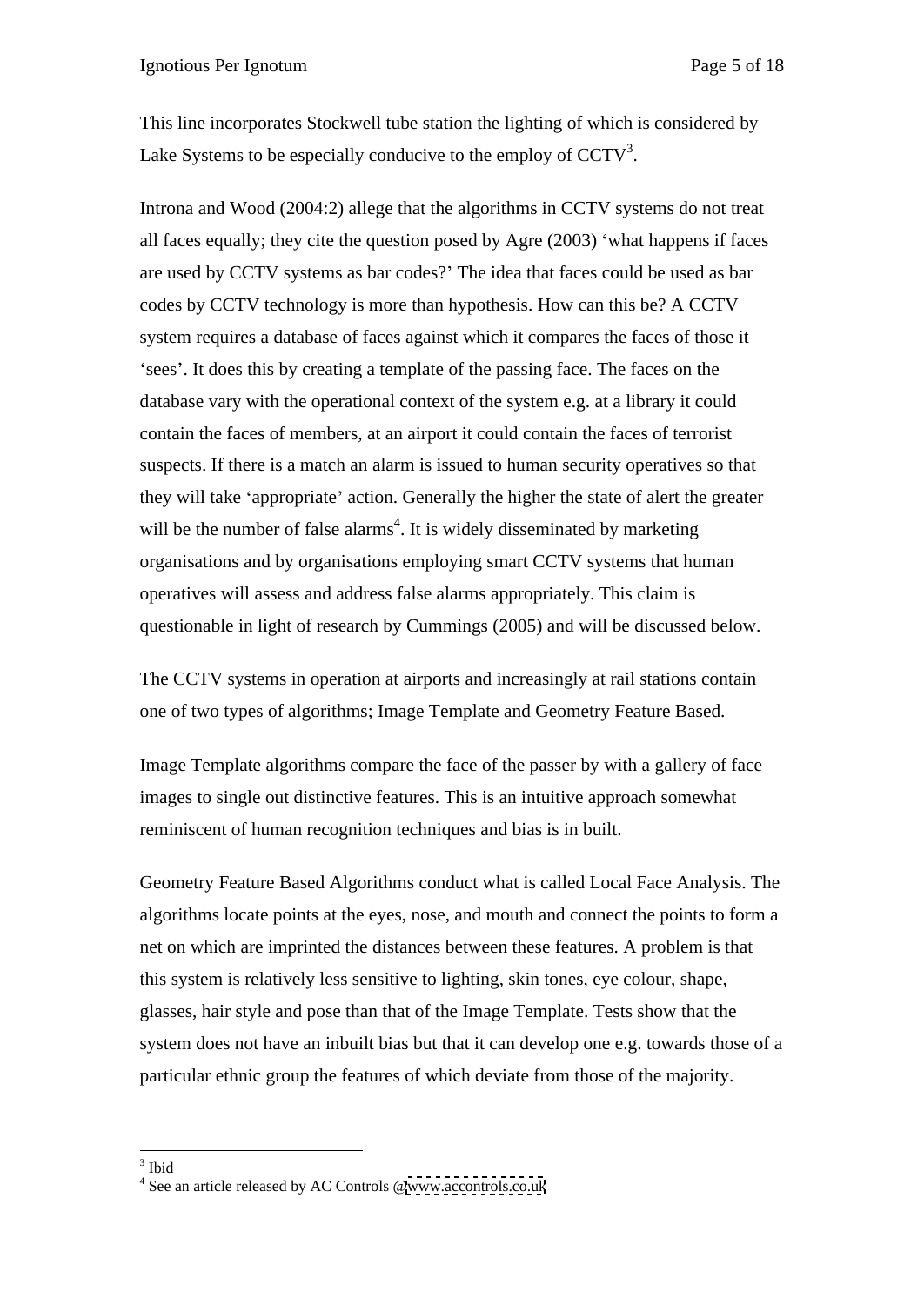This line incorporates Stockwell tube station the lighting of which is considered by Lake Systems to be especially conducive to the employ of  $CCTV<sup>3</sup>$ . .

Introna and Wood (2004:2) allege that the algorithms in CCTV systems do not treat all faces equally; they cite the question posed by Agre (2003) what happens if faces are used by CCTV systems as bar codes? The idea that faces could be used as bar codes by CCTV technology is more than hypothesis. How can this be? A CCTV system requires a database of faces against which it compares the faces of those it sees'. It does this by creating a template of the passing face. The faces on the database vary with the operational context of the system e.g. at a library it could contain the faces of members, at an airport it could contain the faces of terrorist suspects. If there is a match an alarm is issued to human security operatives so that they will take 'appropriate' action. Generally the higher the state of alert the greater will be the number of false alarms<sup>4</sup>. It is widely disseminated by marketing organisations and by organisations employing smart CCTV systems that human operatives will assess and address false alarms appropriately. This claim is

questionable in light of research by Cummings (2005) and will be discussed below. The CCTV systems in operation at airports and increasingly at rail stations contain one of two types of algorithms; Image Template and Geometry Feature Based.

Image Template algorithms compare the face of the passer by with a gallery of face images to single out distinctive features. This is an intuitive approach somewhat reminiscent of human recognition techniques and bias is in built.

Geometry Feature Based Algorithms conduct what is called Local Face Analysis. The algorithms locate points at the eyes, nose, and mouth and connect the points to form a net on which are imprinted the distances between these features. A problem is that this system is relatively less sensitive to lighting, skin tones, eye colour, shape, glasses, hair style and pose than that of the Image Template. Tests show that the system does not have an inbuilt bias but that it can develop one e.g. towards those of a particular ethnic group the features of which deviate from those of the majority.

 $3 \text{ thid}$ Ibid

<sup>&</sup>lt;sup>4</sup> See an article released by AC Controls [@www.accontrols.co.uk](http://www.accontrols.co.uk)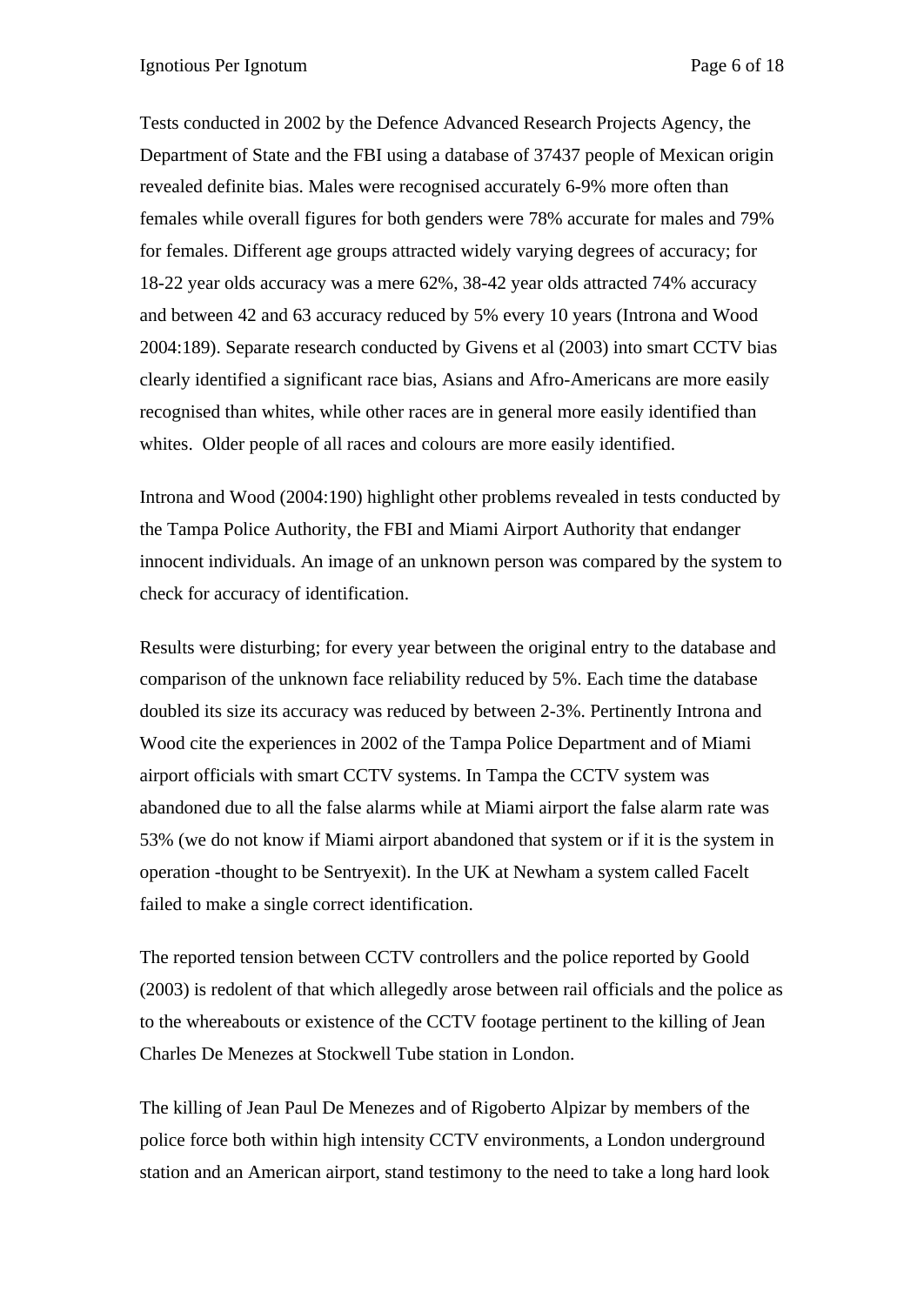Tests conducted in 2002 by the Defence Advanced Research Projects Agency, the Department of State and the FBI using a database of 37437 people of Mexican origin revealed definite bias. Males were recognised accurately 6-9% more often than females while overall figures for both genders were 78% accurate for males and 79% for females. Different age groups attracted widely varying degrees of accuracy; for 18-22 year olds accuracy was a mere 62%, 38-42 year olds attracted 74% accuracy and between 42 and 63 accuracy reduced by 5% every 10 years (Introna and Wood 2004:189). Separate research conducted by Givens et al (2003) into smart CCTV bias clearly identified a significant race bias, Asians and Afro-Americans are more easily recognised than whites, while other races are in general more easily identified than whites. Older people of all races and colours are more easily identified.

Introna and Wood (2004:190) highlight other problems revealed in tests conducted by the Tampa Police Authority, the FBI and Miami Airport Authority that endanger innocent individuals. An image of an unknown person was compared by the system to check for accuracy of identification.

Results were disturbing; for every year between the original entry to the database and comparison of the unknown face reliability reduced by 5%. Each time the database doubled its size its accuracy was reduced by between 2-3%. Pertinently Introna and Wood cite the experiences in 2002 of the Tampa Police Department and of Miami airport officials with smart CCTV systems. In Tampa the CCTV system was abandoned due to all the false alarms while at Miami airport the false alarm rate was 53% (we do not know if Miami airport abandoned that system or if it is the system in operation -thought to be Sentryexit). In the UK at Newham a system called Facelt failed to make a single correct identification.

The reported tension between CCTV controllers and the police reported by Goold (2003) is redolent of that which allegedly arose between rail officials and the police as to the whereabouts or existence of the CCTV footage pertinent to the killing of Jean Charles De Menezes at Stockwell Tube station in London.

The killing of Jean Paul De Menezes and of Rigoberto Alpizar by members of the police force both within high intensity CCTV environments, a London underground station and an American airport, stand testimony to the need to take a long hard look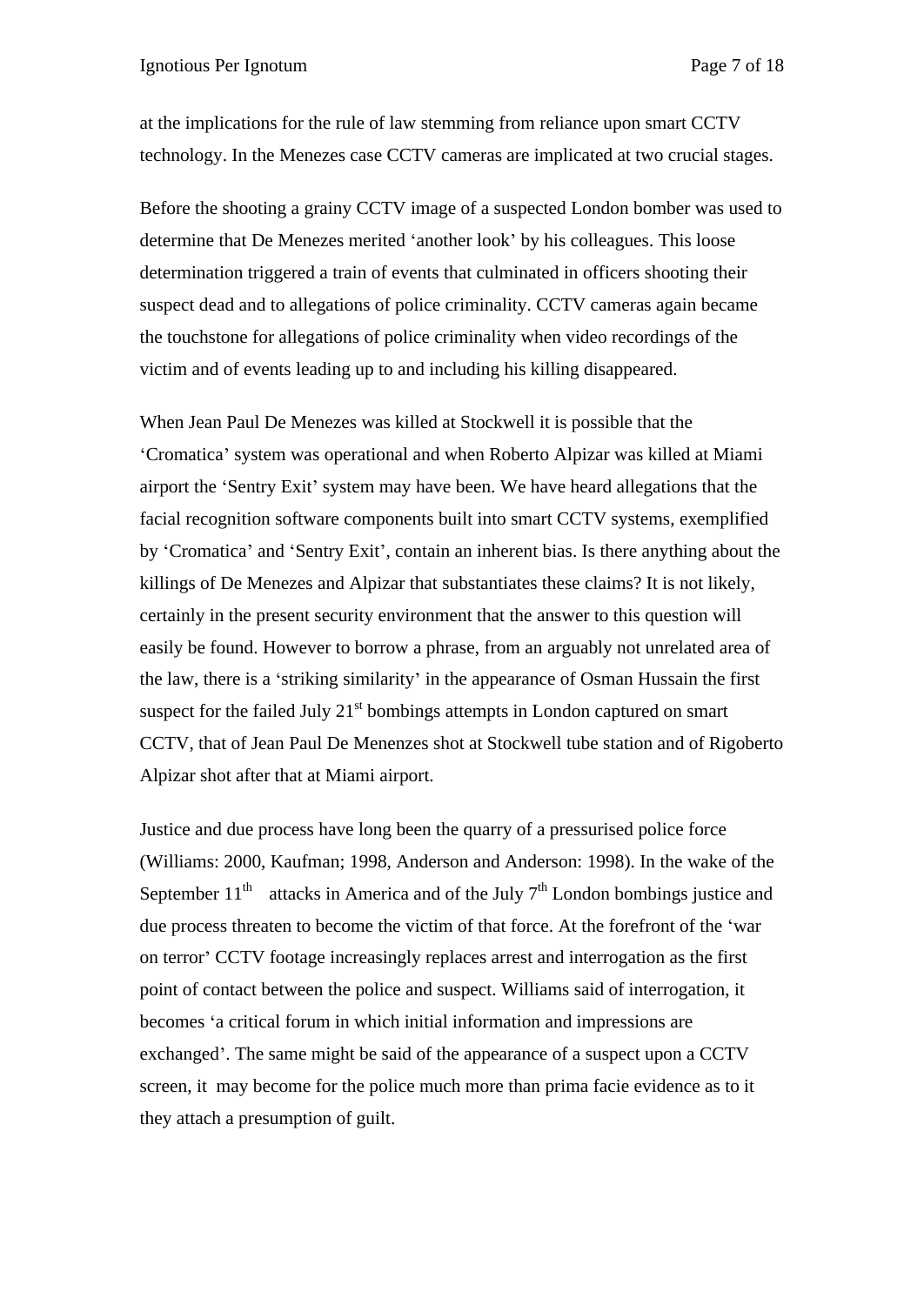at the implications for the rule of law stemming from reliance upon smart CCTV technology. In the Menezes case CCTV cameras are implicated at two crucial stages.

Before the shooting a grainy CCTV image of a suspected London bomber was used to determine that De Menezes merited 'another look' by his colleagues. This loose determination triggered a train of events that culminated in officers shooting their suspect dead and to allegations of police criminality. CCTV cameras again became the touchstone for allegations of police criminality when video recordings of the victim and of events leading up to and including his killing disappeared.

When Jean Paul De Menezes was killed at Stockwell it is possible that the 'Cromatica' system was operational and when Roberto Alpizar was killed at Miami airport the 'Sentry Exit' system may have been. We have heard allegations that the facial recognition software components built into smart CCTV systems, exemplified by 'Cromatica' and 'Sentry Exit', contain an inherent bias. Is there anything about the killings of De Menezes and Alpizar that substantiates these claims? It is not likely, certainly in the present security environment that the answer to this question will easily be found. However to borrow a phrase, from an arguably not unrelated area of the law, there is a 'striking similarity' in the appearance of Osman Hussain the first suspect for the failed July  $21<sup>st</sup>$  bombings attempts in London captured on smart CCTV, that of Jean Paul De Menenzes shot at Stockwell tube station and of Rigoberto Alpizar shot after that at Miami airport.

Justice and due process have long been the quarry of a pressurised police force (Williams: 2000, Kaufman; 1998, Anderson and Anderson: 1998). In the wake of the September  $11<sup>th</sup>$  attacks in America and of the July  $7<sup>th</sup>$  London bombings justice and due process threaten to become the victim of that force. At the forefront of the 'war on terror CCTV footage increasingly replaces arrest and interrogation as the first point of contact between the police and suspect. Williams said of interrogation, it becomes 'a critical forum in which initial information and impressions are exchanged'. The same might be said of the appearance of a suspect upon a CCTV screen, it may become for the police much more than prima facie evidence as to it they attach a presumption of guilt.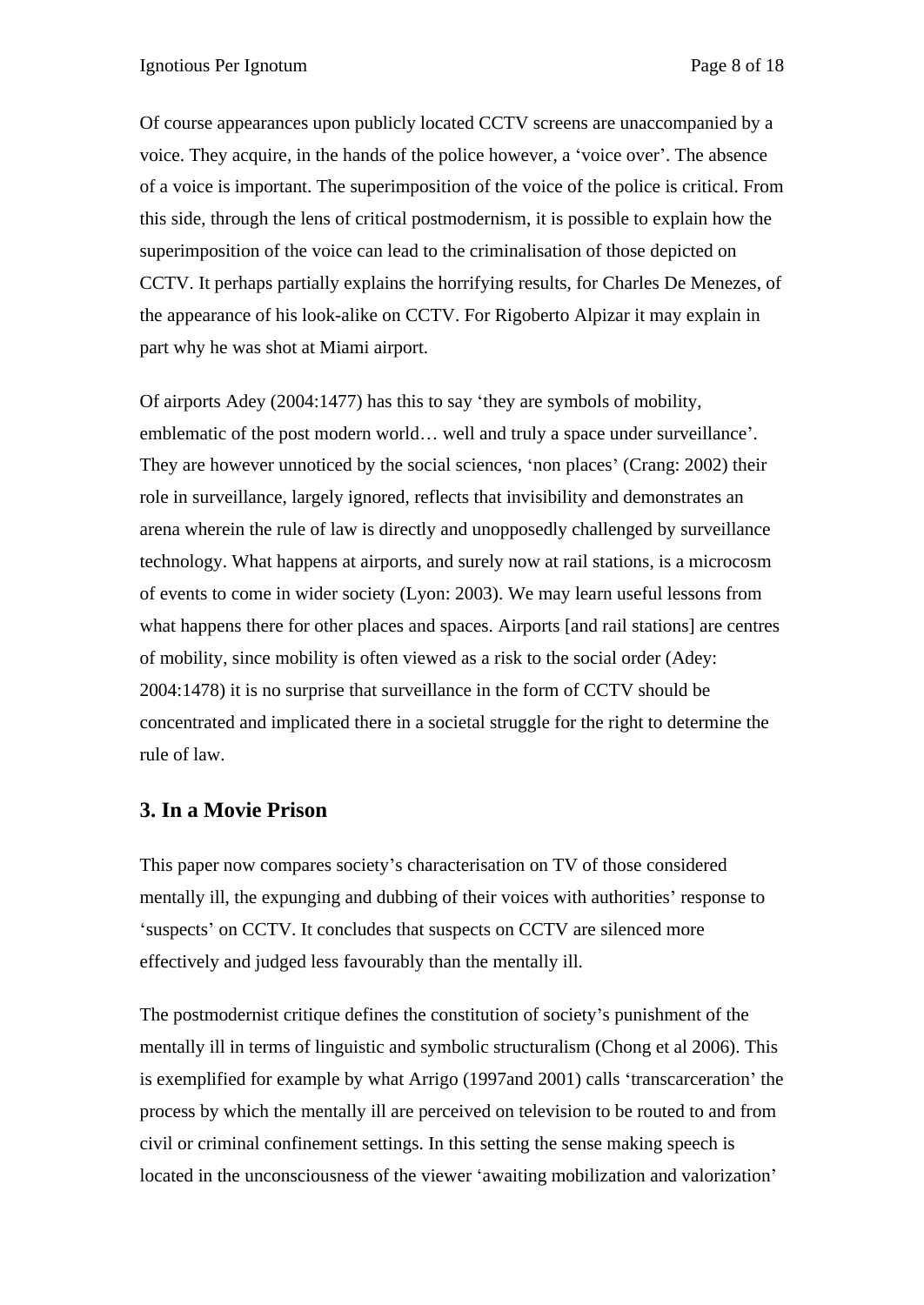Of course appearances upon publicly located CCTV screens are unaccompanied by a voice. They acquire, in the hands of the police however, a voice over . The absence of a voice is important. The superimposition of the voice of the police is critical. From this side, through the lens of critical postmodernism, it is possible to explain how the superimposition of the voice can lead to the criminalisation of those depicted on CCTV. It perhaps partially explains the horrifying results, for Charles De Menezes, of the appearance of his look-alike on CCTV. For Rigoberto Alpizar it may explain in part why he was shot at Miami airport.

Of airports Adey (2004:1477) has this to say they are symbols of mobility, emblematic of the post modern world... well and truly a space under surveillance'. They are however unnoticed by the social sciences, 'non places' (Crang: 2002) their role in surveillance, largely ignored, reflects that invisibility and demonstrates an arena wherein the rule of law is directly and unopposedly challenged by surveillance technology. What happens at airports, and surely now at rail stations, is a microcosm of events to come in wider society (Lyon: 2003). We may learn useful lessons from what happens there for other places and spaces. Airports [and rail stations] are centres of mobility, since mobility is often viewed as a risk to the social order (Adey: 2004:1478) it is no surprise that surveillance in the form of CCTV should be concentrated and implicated there in a societal struggle for the right to determine the rule of law.

# **3. In a Movie Prison**

This paper now compares society's characterisation on TV of those considered mentally ill, the expunging and dubbing of their voices with authorities' response to 'suspects' on CCTV. It concludes that suspects on CCTV are silenced more effectively and judged less favourably than the mentally ill.

The postmodernist critique defines the constitution of society's punishment of the mentally ill in terms of linguistic and symbolic structuralism (Chong et al 2006). This is exemplified for example by what Arrigo (1997and 2001) calls 'transcarceration' the process by which the mentally ill are perceived on television to be routed to and from civil or criminal confinement settings. In this setting the sense making speech is located in the unconsciousness of the viewer 'awaiting mobilization and valorization'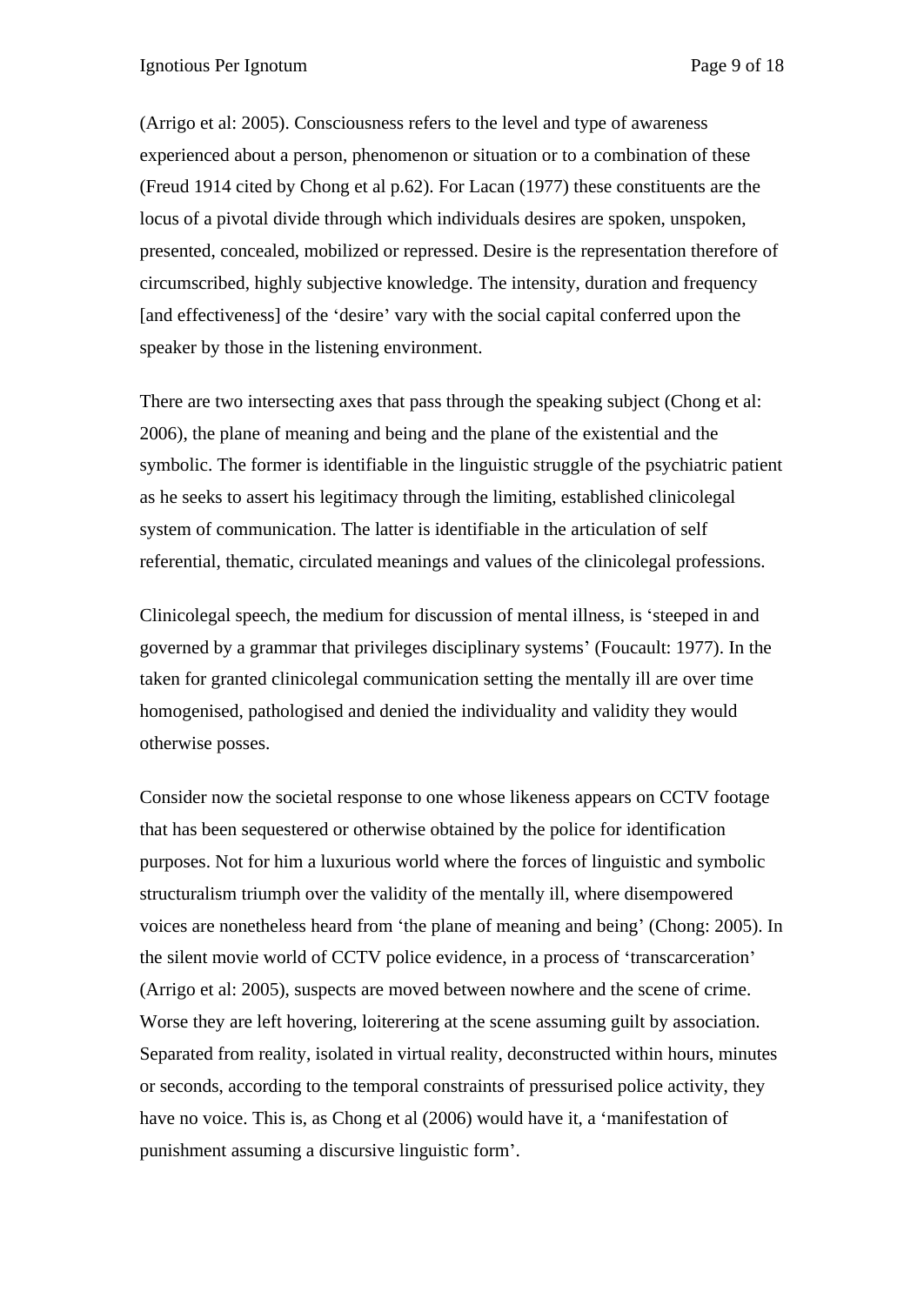(Arrigo et al: 2005). Consciousness refers to the level and type of awareness experienced about a person, phenomenon or situation or to a combination of these (Freud 1914 cited by Chong et al p.62). For Lacan (1977) these constituents are the locus of a pivotal divide through which individuals desires are spoken, unspoken, presented, concealed, mobilized or repressed. Desire is the representation therefore of circumscribed, highly subjective knowledge. The intensity, duration and frequency [and effectiveness] of the 'desire' vary with the social capital conferred upon the speaker by those in the listening environment.

There are two intersecting axes that pass through the speaking subject (Chong et al: 2006), the plane of meaning and being and the plane of the existential and the symbolic. The former is identifiable in the linguistic struggle of the psychiatric patient as he seeks to assert his legitimacy through the limiting, established clinicolegal system of communication. The latter is identifiable in the articulation of self referential, thematic, circulated meanings and values of the clinicolegal professions.<br>Clinicolegal speech, the medium for discussion of mental illness, is 'steeped in and

governed by a grammar that privileges disciplinary systems(Foucault: 1977). In the taken for granted clinicolegal communication setting the mentally ill are over time homogenised, pathologised and denied the individuality and validity they would otherwise posses.

Consider now the societal response to one whose likeness appears on CCTV footage that has been sequestered or otherwise obtained by the police for identification purposes. Not for him a luxurious world where the forces of linguistic and symbolic structuralism triumph over the validity of the mentally ill, where disempowered voices are nonetheless heard from 'the plane of meaning and being' (Chong: 2005). In the silent movie world of CCTV police evidence, in a process of 'transcarceration' (Arrigo et al: 2005), suspects are moved between nowhere and the scene of crime. Worse they are left hovering, loiterering at the scene assuming guilt by association. Separated from reality, isolated in virtual reality, deconstructed within hours, minutes or seconds, according to the temporal constraints of pressurised police activity, they have no voice. This is, as Chong et al (2006) would have it, a 'manifestation of punishment assuming a discursive linguistic form .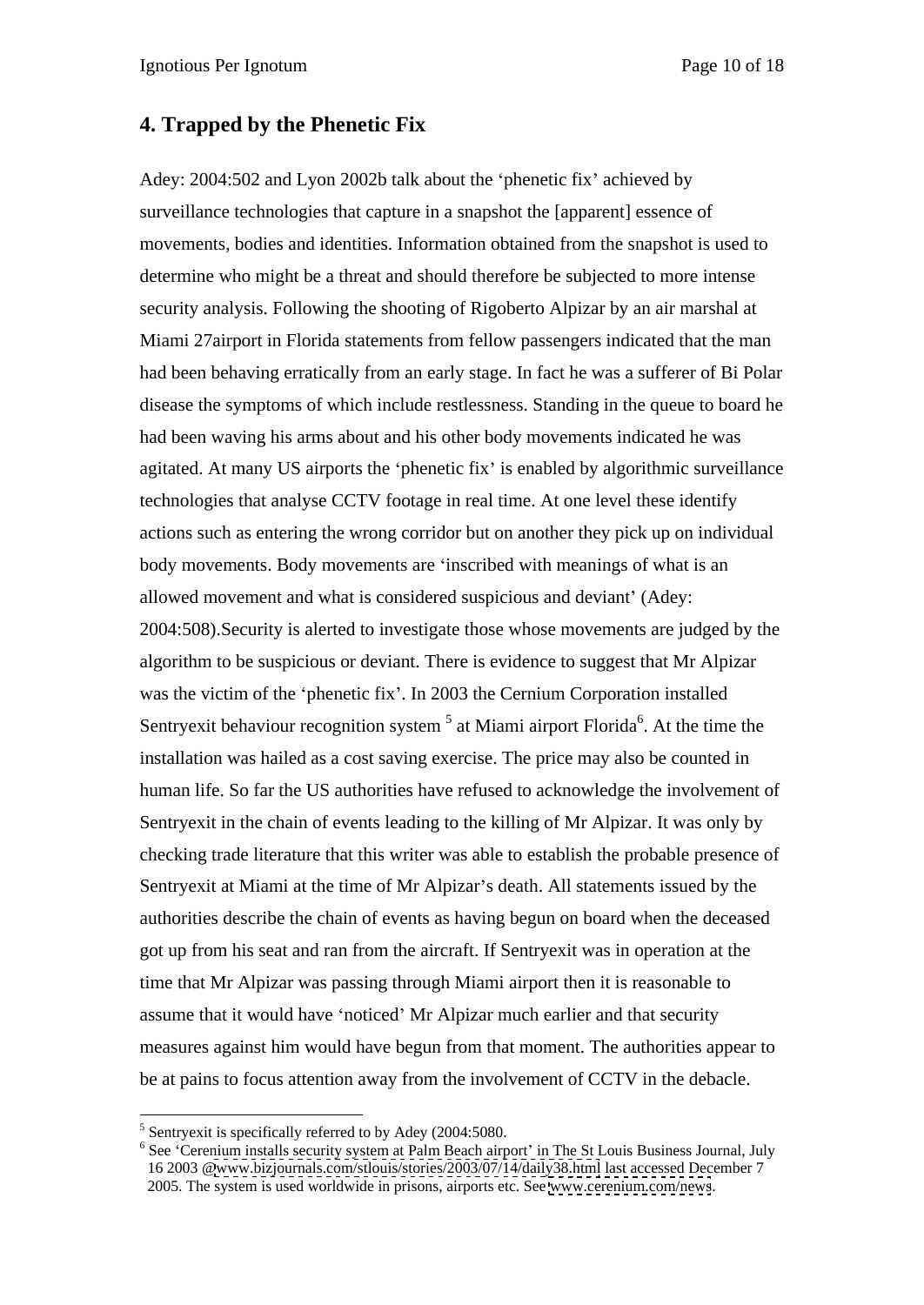## **4. Trapped by the Phenetic Fix**

Adey: 2004:502 and Lyon 2002b talk about the 'phenetic fix' achieved by surveillance technologies that capture in a snapshot the [apparent] essence of movements, bodies and identities. Information obtained from the snapshot is used to determine who might be a threat and should therefore be subjected to more intense security analysis. Following the shooting of Rigoberto Alpizar by an air marshal at Miami 27airport in Florida statements from fellow passengers indicated that the man had been behaving erratically from an early stage. In fact he was a sufferer of Bi Polar disease the symptoms of which include restlessness. Standing in the queue to board he had been waving his arms about and his other body movements indicated he was agitated. At many US airports the 'phenetic fix' is enabled by algorithmic surveillance technologies that analyse CCTV footage in real time. At one level these identify actions such as entering the wrong corridor but on another they pick up on individual body movements. Body movements are 'inscribed with meanings of what is an allowed movement and what is considered suspicious and deviant' (Adey: 2004:508).Security is alerted to investigate those whose movements are judged by the algorithm to be suspicious or deviant. There is evidence to suggest that Mr Alpizar was the victim of the 'phenetic fix'. In 2003 the Cernium Corporation installed Sentryexit behaviour recognition system  $<sup>5</sup>$  at Miami airport Florida<sup>6</sup>. At the time the</sup> installation was hailed as a cost saving exercise. The price may also be counted in human life. So far the US authorities have refused to acknowledge the involvement of Sentryexit in the chain of events leading to the killing of Mr Alpizar. It was only by checking trade literature that this writer was able to establish the probable presence of Sentryexit at Miami at the time of Mr Alpizar's death. All statements issued by the authorities describe the chain of events as having begun on board when the deceased got up from his seat and ran from the aircraft. If Sentryexit was in operation at the time that Mr Alpizar was passing through Miami airport then it is reasonable to assume that it would have 'noticed' Mr Alpizar much earlier and that security measures against him would have begun from that moment. The authorities appear to be at pains to focus attention away from the involvement of CCTV in the debacle.

<sup>&</sup>lt;sup>5</sup> Sentry exit is specifically referred to by Adey (2004:5080.

 $<sup>6</sup>$  See 'Cerenium installs security system at Palm Beach airport' in The St Louis Business Journal, July</sup> 16 2003 [@www.bizjournals.com/stlouis/stories/2003/07/14/daily38.html](http://www.bizjournals.com/stlouis/stories/2003/07/14/daily38.html) last accessed December 7 2005. The system is used worldwide in prisons, airports etc. See [www.cerenium.com/news](http://www.cerenium.com/news).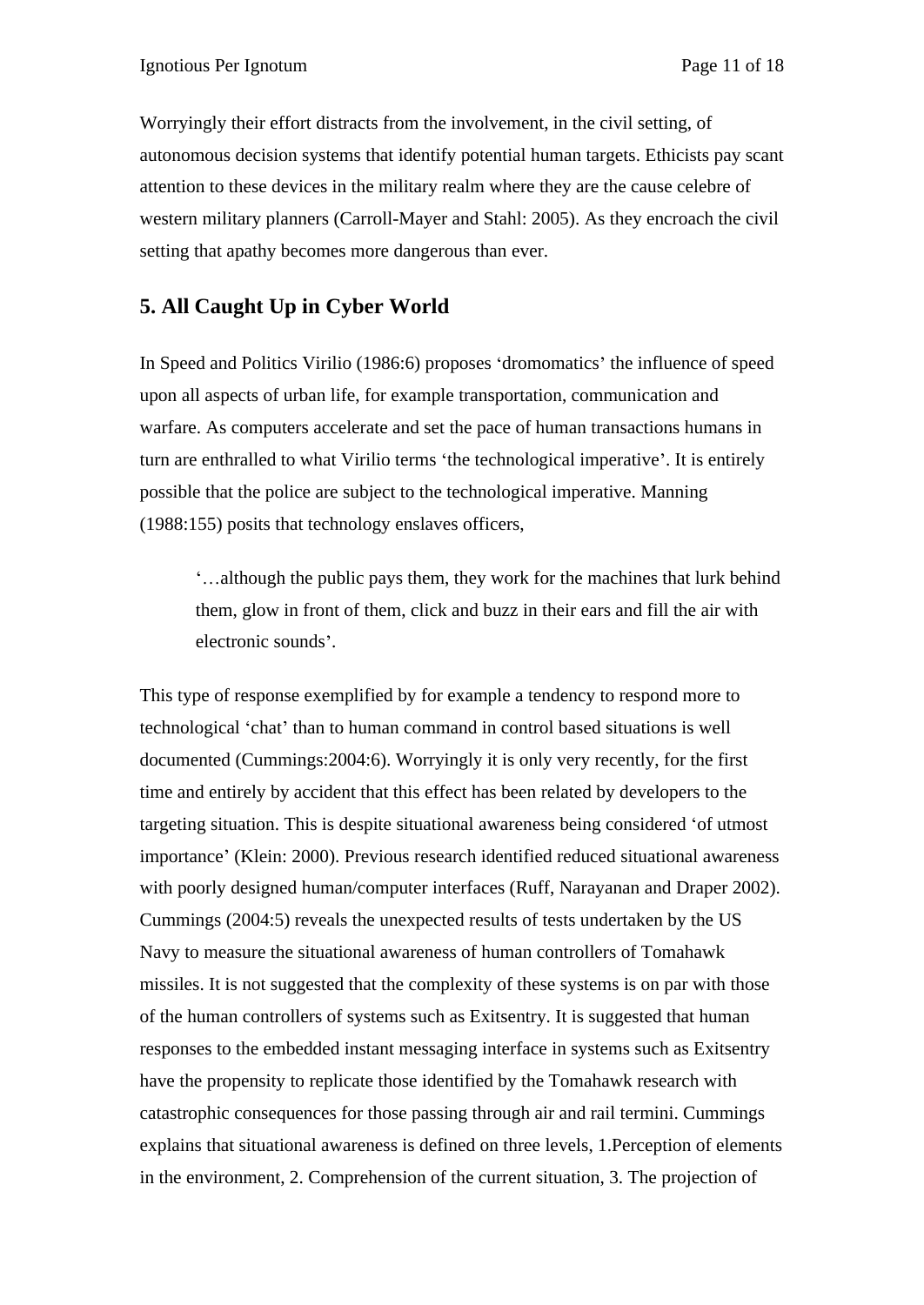Worryingly their effort distracts from the involvement, in the civil setting, of autonomous decision systems that identify potential human targets. Ethicists pay scant attention to these devices in the military realm where they are the cause celebre of western military planners (Carroll-Mayer and Stahl: 2005). As they encroach the civil setting that apathy becomes more dangerous than ever.

# **5. All Caught Up in Cyber World**

In Speed and Politics Virilio (1986:6) proposes 'dromomatics' the influence of speed upon all aspects of urban life, for example transportation, communication and warfare. As computers accelerate and set the pace of human transactions humans in turn are enthralled to what Virilio terms 'the technological imperative'. It is entirely possible that the police are subject to the technological imperative. Manning (1988:155) posits that technology enslaves officers,

although the public pays them, they work for the machines that lurk behind them, glow in front of them, click and buzz in their ears and fill the air with electronic sounds'.

This type of response exemplified by for example a tendency to respond more to technological 'chat' than to human command in control based situations is well documented (Cummings:2004:6). Worryingly it is only very recently, for the first time and entirely by accident that this effect has been related by developers to the targeting situation. This is despite situational awareness being considered 'of utmost importance' (Klein: 2000). Previous research identified reduced situational awareness with poorly designed human/computer interfaces (Ruff, Narayanan and Draper 2002). Cummings (2004:5) reveals the unexpected results of tests undertaken by the US Navy to measure the situational awareness of human controllers of Tomahawk missiles. It is not suggested that the complexity of these systems is on par with those of the human controllers of systems such as Exitsentry. It is suggested that human responses to the embedded instant messaging interface in systems such as Exitsentry have the propensity to replicate those identified by the Tomahawk research with catastrophic consequences for those passing through air and rail termini. Cummings explains that situational awareness is defined on three levels, 1.Perception of elements in the environment, 2. Comprehension of the current situation, 3. The projection of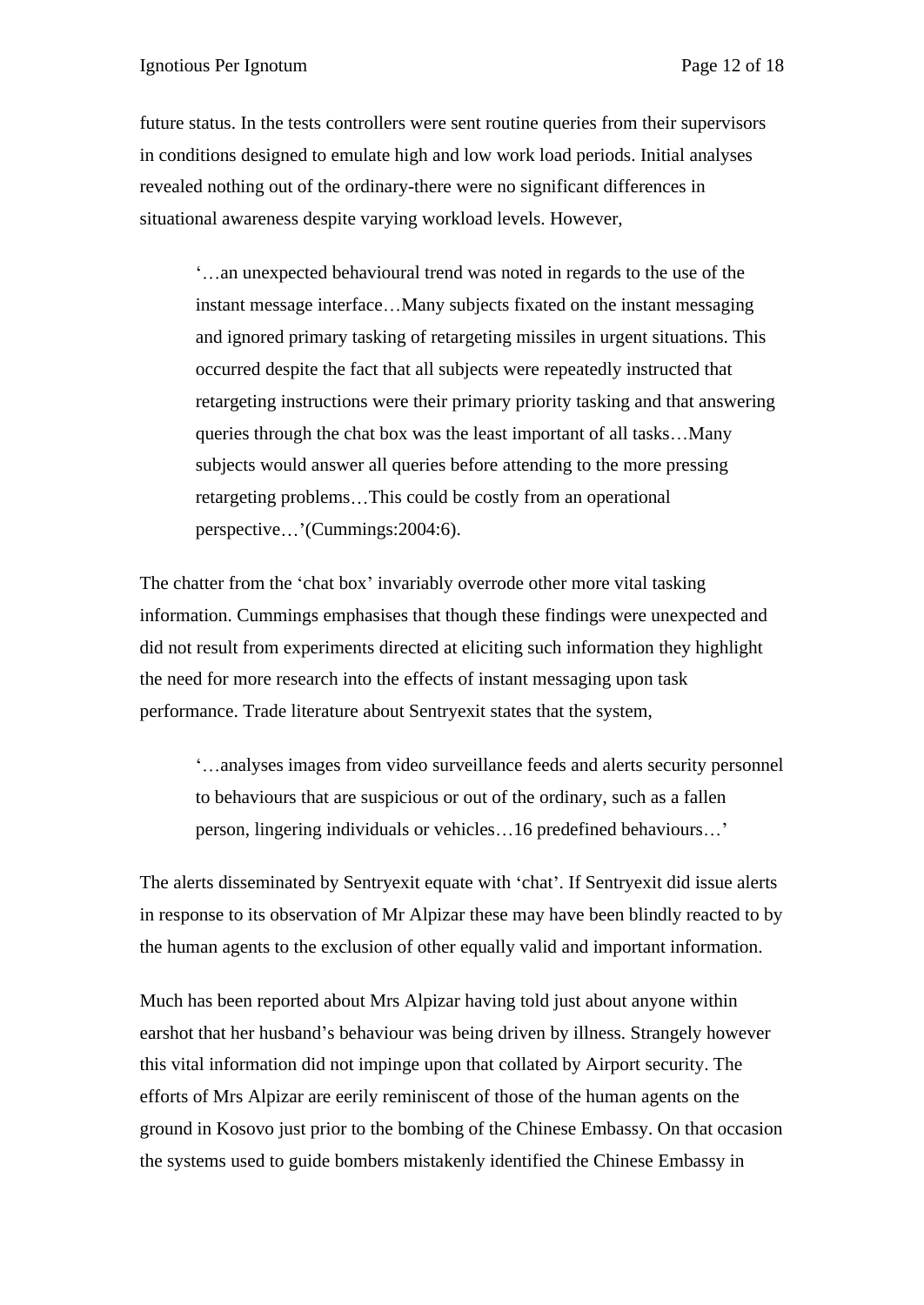future status. In the tests controllers were sent routine queries from their supervisors in conditions designed to emulate high and low work load periods. Initial analyses revealed nothing out of the ordinary-there were no significant differences in situational awareness despite varying workload levels. However,

an unexpected behavioural trend was noted in regards to the use of the instant message interface...Many subjects fixated on the instant messaging and ignored primary tasking of retargeting missiles in urgent situations. This occurred despite the fact that all subjects were repeatedly instructed that retargeting instructions were their primary priority tasking and that answering queries through the chat box was the least important of all tasks...Many subjects would answer all queries before attending to the more pressing retargeting problems...This could be costly from an operational perspective...'(Cummings: 2004:6).

The chatter from the 'chat box' invariably overrode other more vital tasking information. Cummings emphasises that though these findings were unexpected and did not result from experiments directed at eliciting such information they highlight the need for more research into the effects of instant messaging upon task performance. Trade literature about Sentryexit states that the system,

analyses images from video surveillance feeds and alerts security personnel to behaviours that are suspicious or out of the ordinary, such as a fallen person, lingering individuals or vehicles ... 16 predefined behaviours ...'

The alerts disseminated by Sentryexit equate with 'chat'. If Sentryexit did issue alerts in response to its observation of Mr Alpizar these may have been blindly reacted to by the human agents to the exclusion of other equally valid and important information.

Much has been reported about Mrs Alpizar having told just about anyone within earshot that her husband's behaviour was being driven by illness. Strangely however this vital information did not impinge upon that collated by Airport security. The efforts of Mrs Alpizar are eerily reminiscent of those of the human agents on the ground in Kosovo just prior to the bombing of the Chinese Embassy. On that occasion the systems used to guide bombers mistakenly identified the Chinese Embassy in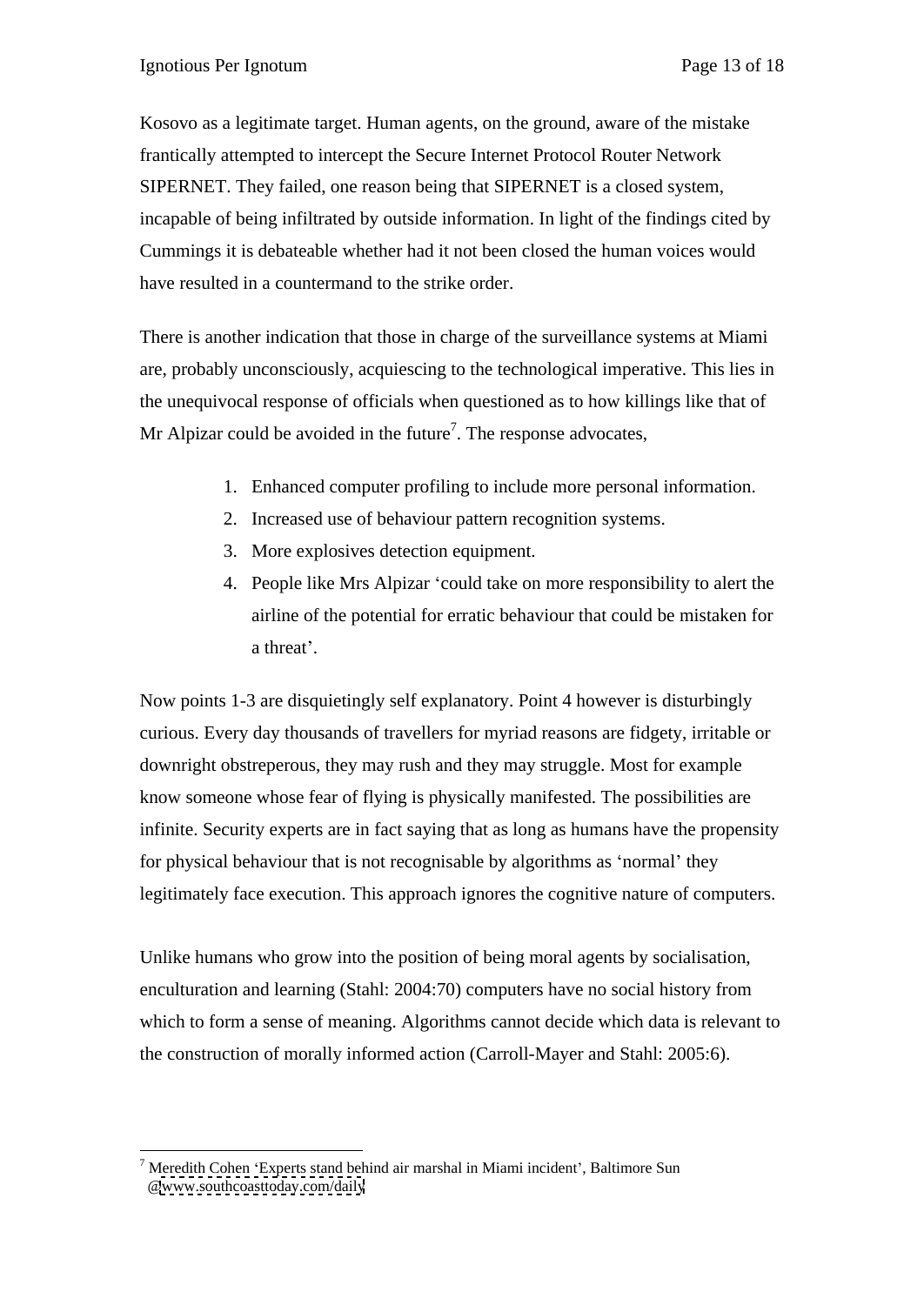Kosovo as a legitimate target. Human agents, on the ground, aware of the mistake frantically attempted to intercept the Secure Internet Protocol Router Network SIPERNET. They failed, one reason being that SIPERNET is a closed system, incapable of being infiltrated by outside information. In light of the findings cited by Cummings it is debateable whether had it not been closed the human voices would have resulted in a countermand to the strike order.

 There is another indication that those in charge of the surveillance systems at Miami are, probably unconsciously, acquiescing to the technological imperative. This lies in the unequivocal response of officials when questioned as to how killings like that of Mr Alpizar could be avoided in the future<sup>7</sup>. The response advocates,

- 1. Enhanced computer profiling to include more personal information.
- 2. Increased use of behaviour pattern recognition systems.
- 3. More explosives detection equipment.
- 4. People like Mrs Alpizar 'could take on more responsibility to alert the airline of the potential for erratic behaviour that could be mistaken for a threat'.

Now points 1-3 are disquietingly self explanatory. Point 4 however is disturbingly curious. Every day thousands of travellers for myriad reasons are fidgety, irritable or downright obstreperous, they may rush and they may struggle. Most for example know someone whose fear of flying is physically manifested. The possibilities are infinite. Security experts are in fact saying that as long as humans have the propensity for physical behaviour that is not recognisable by algorithms as 'normal' they legitimately face execution. This approach ignores the cognitive nature of computers.

Unlike humans who grow into the position of being moral agents by socialisation, enculturation and learning (Stahl: 2004:70) computers have no social history from which to form a sense of meaning. Algorithms cannot decide which data is relevant to the construction of morally informed action (Carroll-Mayer and Stahl: 2005:6).

 $<sup>7</sup>$  Meredith Cohen 'Experts stand behind air marshal in Miami incident', Baltimore Sun</sup> [@www.southcoasttoday.com/daily](http://www.southcoasttoday.com/daily)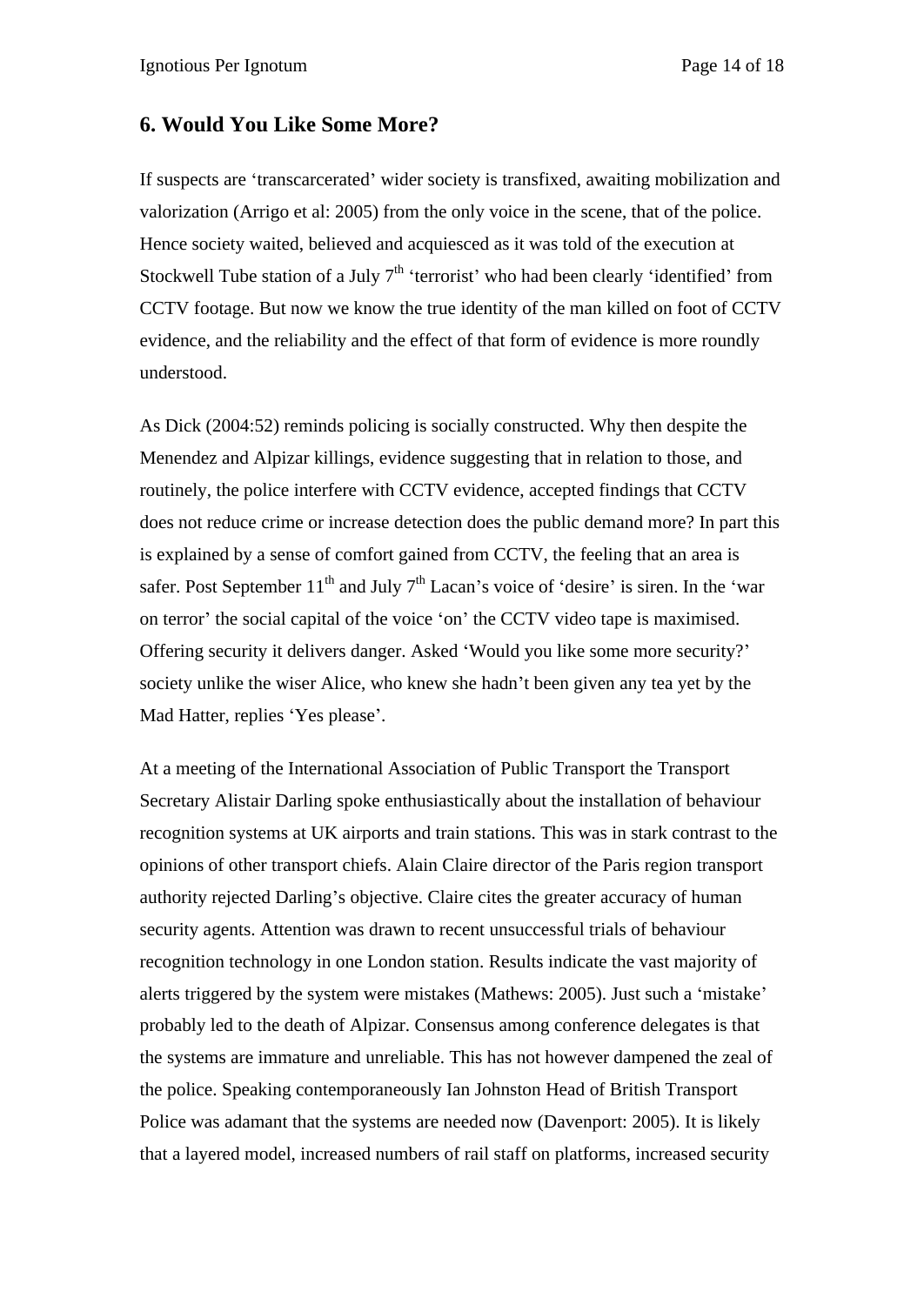#### **6. Would You Like Some More?**

If suspects are 'transcarcerated' wider society is transfixed, awaiting mobilization and valorization (Arrigo et al: 2005) from the only voice in the scene, that of the police. Hence society waited, believed and acquiesced as it was told of the execution at Stockwell Tube station of a July  $7<sup>th</sup>$  'terrorist' who had been clearly 'identified' from CCTV footage. But now we know the true identity of the man killed on foot of CCTV evidence, and the reliability and the effect of that form of evidence is more roundly understood.

As Dick (2004:52) reminds policing is socially constructed. Why then despite the Menendez and Alpizar killings, evidence suggesting that in relation to those, and routinely, the police interfere with CCTV evidence, accepted findings that CCTV does not reduce crime or increase detection does the public demand more? In part this is explained by a sense of comfort gained from CCTV, the feeling that an area is safer. Post September  $11<sup>th</sup>$  and July  $7<sup>th</sup>$  Lacan's voice of 'desire' is siren. In the 'war on terror' the social capital of the voice 'on' the CCTV video tape is maximised. Offering security it delivers danger. Asked 'Would you like some more security?' society unlike the wiser Alice, who knew she hadn't been given any tea yet by the Mad Hatter, replies 'Yes please'.

At a meeting of the International Association of Public Transport the Transport Secretary Alistair Darling spoke enthusiastically about the installation of behaviour recognition systems at UK airports and train stations. This was in stark contrast to the opinions of other transport chiefs. Alain Claire director of the Paris region transport authority rejected Darling's objective. Claire cites the greater accuracy of human security agents. Attention was drawn to recent unsuccessful trials of behaviour recognition technology in one London station. Results indicate the vast majority of alerts triggered by the system were mistakes (Mathews: 2005). Just such a 'mistake' probably led to the death of Alpizar. Consensus among conference delegates is that the systems are immature and unreliable. This has not however dampened the zeal of the police. Speaking contemporaneously Ian Johnston Head of British Transport Police was adamant that the systems are needed now (Davenport: 2005). It is likely that a layered model, increased numbers of rail staff on platforms, increased security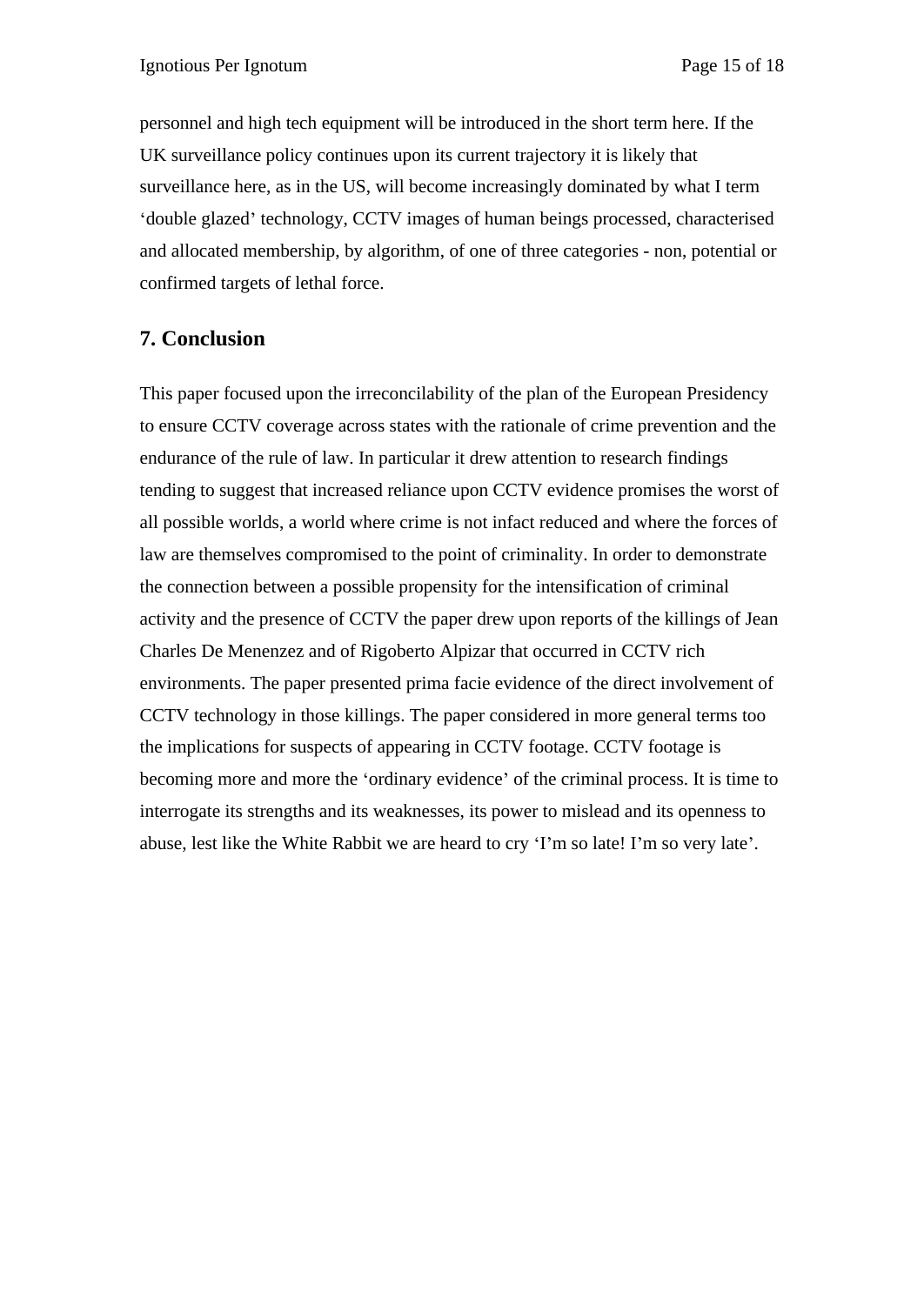personnel and high tech equipment will be introduced in the short term here. If the UK surveillance policy continues upon its current trajectory it is likely that surveillance here, as in the US, will become increasingly dominated by what I term 'double glazed' technology, CCTV images of human beings processed, characterised and allocated membership, by algorithm, of one of three categories - non, potential or confirmed targets of lethal force.

## **7. Conclusion**

This paper focused upon the irreconcilability of the plan of the European Presidency to ensure CCTV coverage across states with the rationale of crime prevention and the endurance of the rule of law. In particular it drew attention to research findings tending to suggest that increased reliance upon CCTV evidence promises the worst of all possible worlds, a world where crime is not infact reduced and where the forces of law are themselves compromised to the point of criminality. In order to demonstrate the connection between a possible propensity for the intensification of criminal activity and the presence of CCTV the paper drew upon reports of the killings of Jean Charles De Menenzez and of Rigoberto Alpizar that occurred in CCTV rich environments. The paper presented prima facie evidence of the direct involvement of CCTV technology in those killings. The paper considered in more general terms too the implications for suspects of appearing in CCTV footage. CCTV footage is becoming more and more the 'ordinary evidence' of the criminal process. It is time to interrogate its strengths and its weaknesses, its power to mislead and its openness to abuse, lest like the White Rabbit we are heard to cry 'I'm so late! I'm so very late'.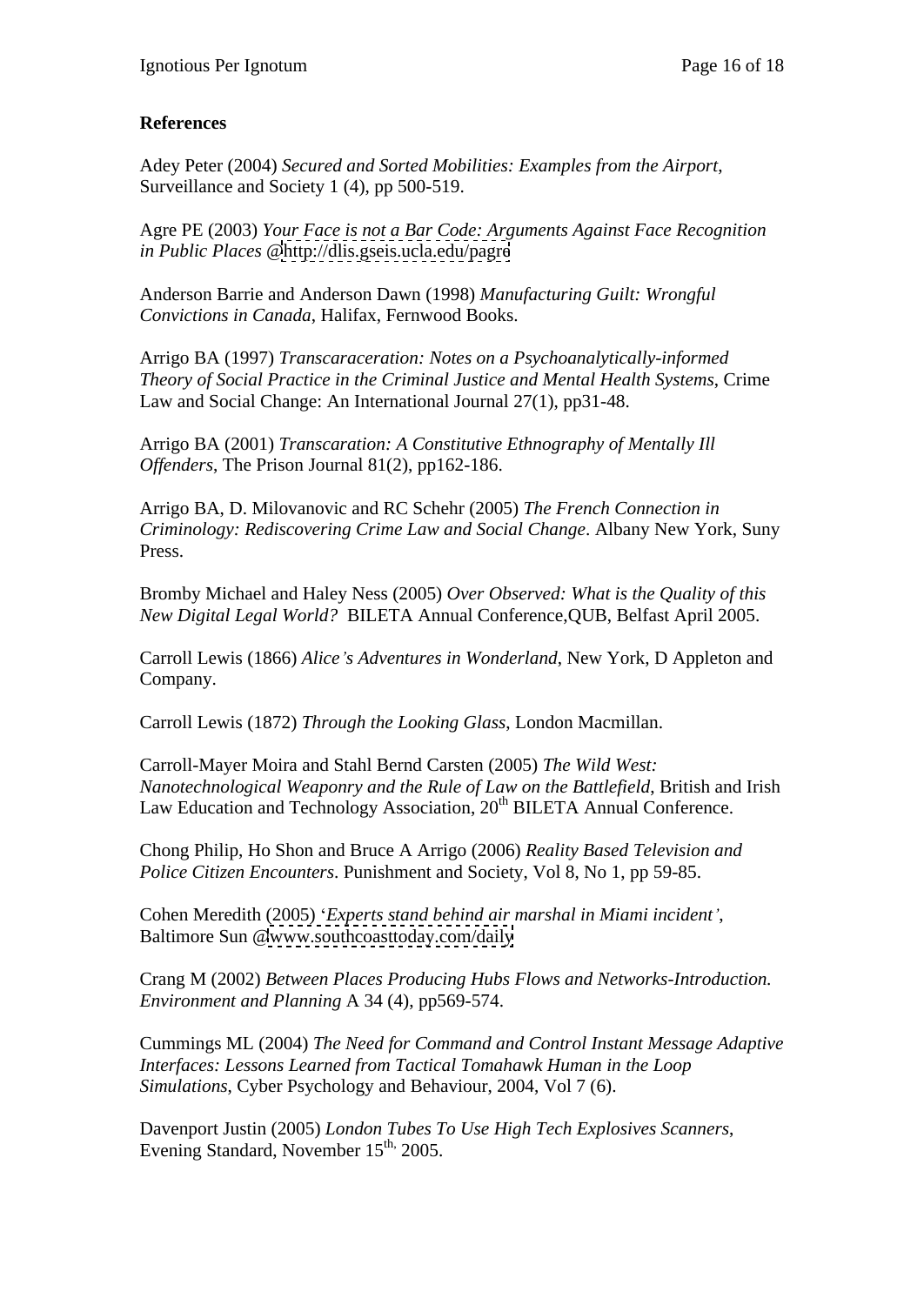## **References**

Adey Peter (2004) *Secured and Sorted Mobilities: Examples from the Airport*, Surveillance and Society 1 (4), pp 500-519.

Agre PE (2003) *Your Face is not a Bar Code: Arguments Against Face Recognition in Public Places* [@http://dlis.gseis.ucla.edu/pagre](http://dlis.gseis.ucla.edu/pagre)

Anderson Barrie and Anderson Dawn (1998) *Manufacturing Guilt: Wrongful Convictions in Canada*, Halifax, Fernwood Books.

Arrigo BA (1997) *Transcaraceration: Notes on a Psychoanalytically-informed Theory of Social Practice in the Criminal Justice and Mental Health Systems*, Crime Law and Social Change: An International Journal 27(1), pp31-48.

Arrigo BA (2001) *Transcaration: A Constitutive Ethnography of Mentally Ill Offenders*, The Prison Journal 81(2), pp162-186.

Arrigo BA, D. Milovanovic and RC Schehr (2005) *The French Connection in Criminology: Rediscovering Crime Law and Social Change*. Albany New York, Suny Press.

Bromby Michael and Haley Ness (2005) *Over Observed: What is the Quality of this New Digital Legal World?* BILETA Annual Conference,QUB, Belfast April 2005.

Carroll Lewis (1866) *Alice s Adventures in Wonderland*, New York, D Appleton and Company.

Carroll Lewis (1872) *Through the Looking Glass*, London Macmillan.

Carroll-Mayer Moira and Stahl Bernd Carsten (2005) *The Wild West: Nanotechnological Weaponry and the Rule of Law on the Battlefield*, British and Irish Law Education and Technology Association,  $20<sup>th</sup> BILETA$  Annual Conference.

Chong Philip, Ho Shon and Bruce A Arrigo (2006) *Reality Based Television and Police Citizen Encounters*. Punishment and Society, Vol 8, No 1, pp 59-85.

Cohen Meredith (2005) *Experts stand behind air marshal in Miami incident* , Baltimore Sun [@www.southcoasttoday.com/daily](http://www.southcoasttoday.com/daily)

Crang M (2002) *Between Places Producing Hubs Flows and Networks-Introduction. Environment and Planning* A 34 (4), pp569-574.

Cummings ML (2004) *The Need for Command and Control Instant Message Adaptive Interfaces: Lessons Learned from Tactical Tomahawk Human in the Loop Simulations*, Cyber Psychology and Behaviour, 2004, Vol 7 (6).

Davenport Justin (2005) *London Tubes To Use High Tech Explosives Scanners*, Evening Standard, November 15<sup>th,</sup> 2005.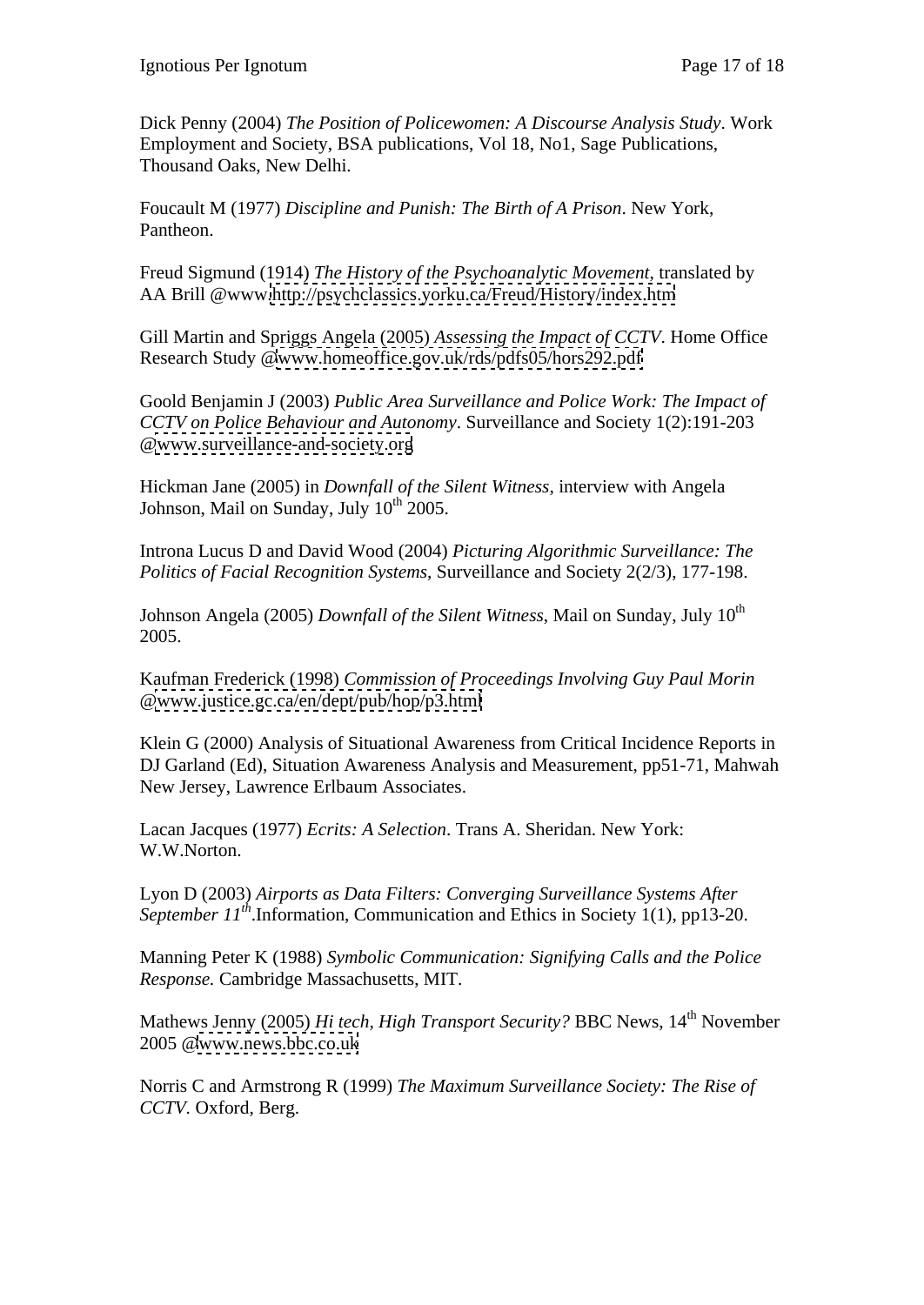Dick Penny (2004) *The Position of Policewomen: A Discourse Analysis Study*. Work Employment and Society, BSA publications, Vol 18, No1, Sage Publications, Thousand Oaks, New Delhi.

Foucault M (1977) *Discipline and Punish: The Birth of A Prison*. New York, Pantheon.

Freud Sigmund (1914) *The History of the Psychoanalytic Movement*, translated by AA Brill @www[.http://psychclassics.yorku.ca/Freud/History/index.htm](http://psychclassics.yorku.ca/Freud/History/index.htm)

Gill Martin and Spriggs Angela (2005) *Assessing the Impact of CCTV*. Home Office Research Study [@www.homeoffice.gov.uk/rds/pdfs05/hors292.pdf](http://www.homeoffice.gov.uk/rds/pdfs05/hors292.pdf)

Goold Benjamin J (2003) *Public Area Surveillance and Police Work: The Impact of CCTV on Police Behaviour and Autonomy*. Surveillance and Society 1(2):191-203 [@www.surveillance-and-society.org](http://www.surveillance-and-society.org)

Hickman Jane (2005) in *Downfall of the Silent Witness*, interview with Angela Johnson, Mail on Sunday, July 10<sup>th</sup> 2005.  $\frac{\text{th}}{2005}$ .

Introna Lucus D and David Wood (2004) *Picturing Algorithmic Surveillance: The Politics of Facial Recognition Systems*, Surveillance and Society 2(2/3), 177-198.

Johnson Angela (2005) *Downfall of the Silent Witness*, Mail on Sunday, July 10<sup>th</sup> 2005.

Kaufman Frederick (1998) *Commission of Proceedings Involving Guy Paul Morin* [@www.justice.gc.ca/en/dept/pub/hop/p3.html](http://www.justice.gc.ca/en/dept/pub/hop/p3.html)

Klein G (2000) Analysis of Situational Awareness from Critical Incidence Reports in DJ Garland (Ed), Situation Awareness Analysis and Measurement, pp51-71, Mahwah New Jersey, Lawrence Erlbaum Associates.

Lacan Jacques (1977) *Ecrits: A Selection*. Trans A. Sheridan. New York: W.W.Norton.

Lyon D (2003) *Airports as Data Filters: Converging Surveillance Systems After September 11th*.Information, Communication and Ethics in Society 1(1), pp13-20.

Manning Peter K (1988) *Symbolic Communication: Signifying Calls and the Police Response.* Cambridge Massachusetts, MIT.

Mathews Jenny (2005) *Hi tech, High Transport Security?* BBC News, 14<sup>th</sup> November 2005 [@www.news.bbc.co.uk](http://www.news.bbc.co.uk)

Norris C and Armstrong R (1999) *The Maximum Surveillance Society: The Rise of CCTV.* Oxford, Berg.